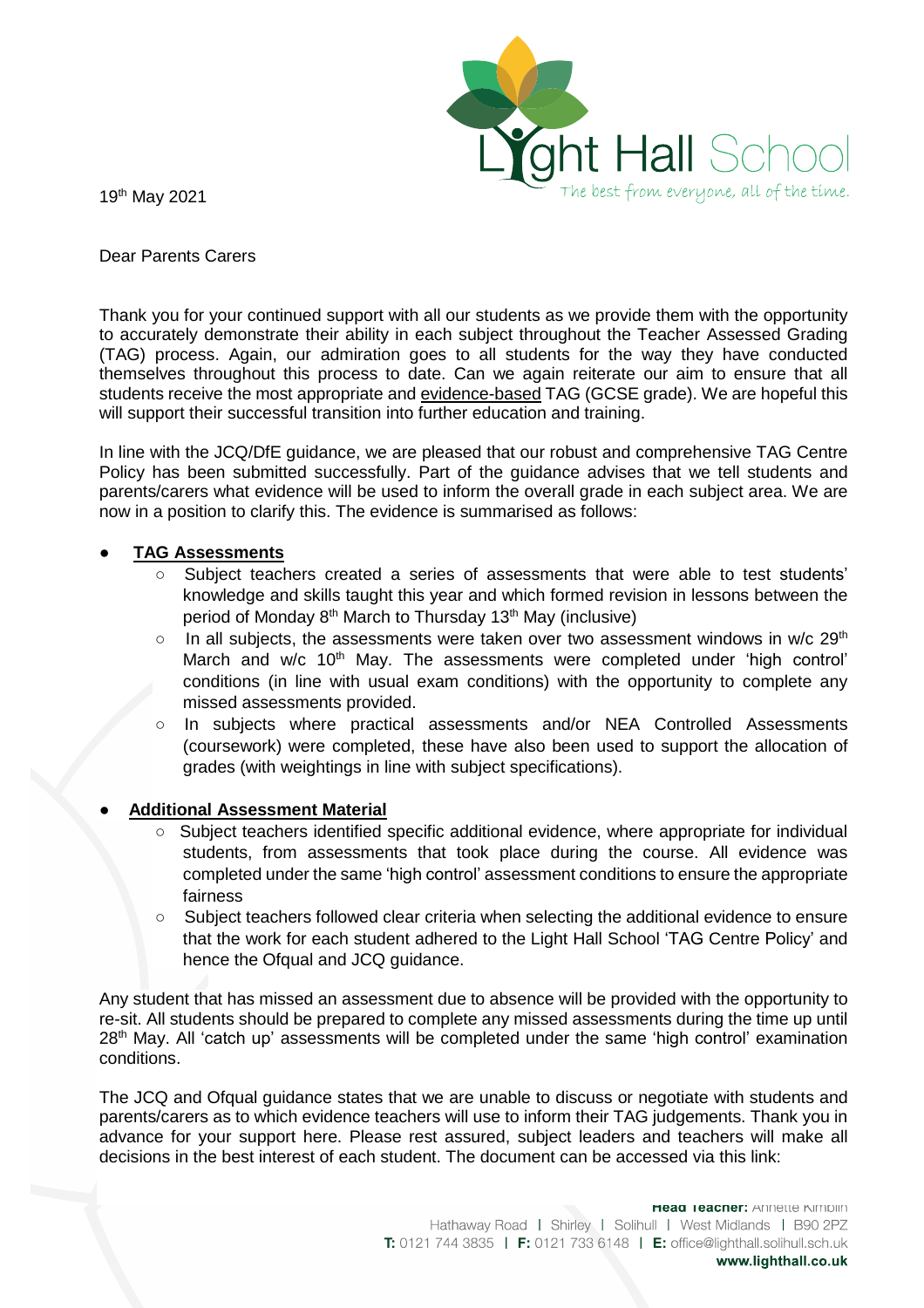

19th May 2021

Dear Parents Carers

Thank you for your continued support with all our students as we provide them with the opportunity to accurately demonstrate their ability in each subject throughout the Teacher Assessed Grading (TAG) process. Again, our admiration goes to all students for the way they have conducted themselves throughout this process to date. Can we again reiterate our aim to ensure that all students receive the most appropriate and evidence-based TAG (GCSE grade). We are hopeful this will support their successful transition into further education and training.

In line with the JCQ/DfE guidance, we are pleased that our robust and comprehensive TAG Centre Policy has been submitted successfully. Part of the guidance advises that we tell students and parents/carers what evidence will be used to inform the overall grade in each subject area. We are now in a position to clarify this. The evidence is summarised as follows:

## ● **TAG Assessments**

- Subject teachers created a series of assessments that were able to test students' knowledge and skills taught this year and which formed revision in lessons between the period of Monday 8<sup>th</sup> March to Thursday 13<sup>th</sup> May (inclusive)
- $\circ$  In all subjects, the assessments were taken over two assessment windows in w/c 29<sup>th</sup> March and w/c 10<sup>th</sup> May. The assessments were completed under 'high control' conditions (in line with usual exam conditions) with the opportunity to complete any missed assessments provided.
- In subjects where practical assessments and/or NEA Controlled Assessments (coursework) were completed, these have also been used to support the allocation of grades (with weightings in line with subject specifications).

## ● **Additional Assessment Material**

- Subject teachers identified specific additional evidence, where appropriate for individual students, from assessments that took place during the course. All evidence was completed under the same 'high control' assessment conditions to ensure the appropriate fairness
- Subject teachers followed clear criteria when selecting the additional evidence to ensure that the work for each student adhered to the Light Hall School 'TAG Centre Policy' and hence the Ofqual and JCQ quidance.

Any student that has missed an assessment due to absence will be provided with the opportunity to re-sit. All students should be prepared to complete any missed assessments during the time up until 28<sup>th</sup> May. All 'catch up' assessments will be completed under the same 'high control' examination conditions.

The JCQ and Ofqual guidance states that we are unable to discuss or negotiate with students and parents/carers as to which evidence teachers will use to inform their TAG judgements. Thank you in advance for your support here. Please rest assured, subject leaders and teachers will make all decisions in the best interest of each student. The document can be accessed via this link: